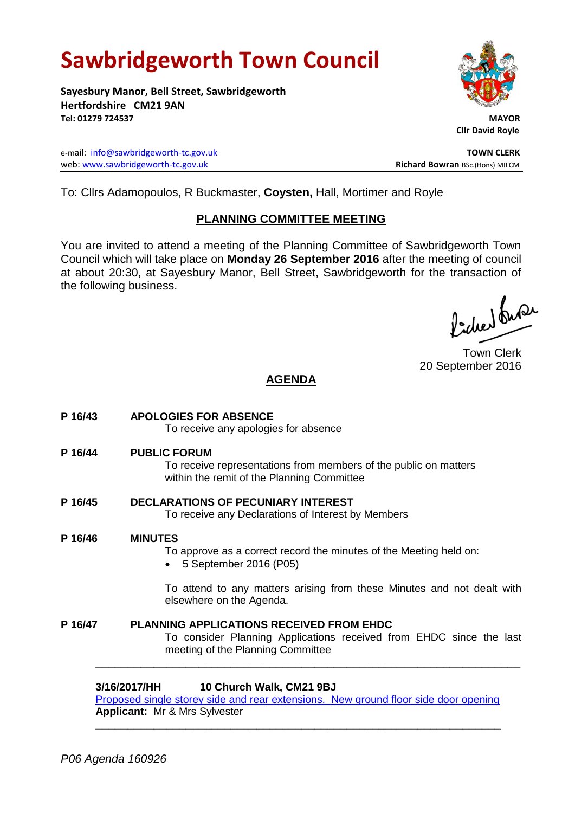# **Sawbridgeworth Town Council**

**Sayesbury Manor, Bell Street, Sawbridgeworth Hertfordshire CM21 9AN Tel: 01279 724537 MAYOR**

e-mail: [info@sawbridgeworth-tc.gov.uk](mailto:info@sawbridgeworth-tc.gov.uk) **TOWN CLERK** web: www.sawbridgeworth-tc.gov.uk<br>
Richard Bowran BSc.(Hons) MILCM



 **Cllr David Royle**

To: Cllrs Adamopoulos, R Buckmaster, **Coysten,** Hall, Mortimer and Royle

## **PLANNING COMMITTEE MEETING**

You are invited to attend a meeting of the Planning Committee of Sawbridgeworth Town Council which will take place on **Monday 26 September 2016** after the meeting of council at about 20:30, at Sayesbury Manor, Bell Street, Sawbridgeworth for the transaction of the following business.

Picked Super

Town Clerk 20 September 2016

# **AGENDA**

**P 16/43 APOLOGIES FOR ABSENCE** To receive any apologies for absence **P 16/44 PUBLIC FORUM** To receive representations from members of the public on matters within the remit of the Planning Committee **P 16/45 DECLARATIONS OF PECUNIARY INTEREST** To receive any Declarations of Interest by Members **P 16/46 MINUTES** To approve as a correct record the minutes of the Meeting held on: 5 September 2016 (P05) To attend to any matters arising from these Minutes and not dealt with elsewhere on the Agenda. **P 16/47 PLANNING APPLICATIONS RECEIVED FROM EHDC**

To consider Planning Applications received from EHDC since the last meeting of the Planning Committee

## **3/16/2017/HH 10 Church Walk, CM21 9BJ**

[Proposed single storey side and rear extensions. New ground floor side door opening](https://publicaccess.eastherts.gov.uk/online-applications/applicationDetails.do?activeTab=summary&keyVal=OCX27NGLLBQ00) **Applicant:** Mr & Mrs Sylvester **\_\_\_\_\_\_\_\_\_\_\_\_\_\_\_\_\_\_\_\_\_\_\_\_\_\_\_\_\_\_\_\_\_\_\_\_\_\_\_\_\_\_\_\_\_\_\_\_\_\_\_\_\_\_\_\_\_\_\_\_\_\_\_**

**\_\_\_\_\_\_\_\_\_\_\_\_\_\_\_\_\_\_\_\_\_\_\_\_\_\_\_\_\_\_\_\_\_\_\_\_\_\_\_\_\_\_\_\_\_\_\_\_\_\_\_\_\_\_\_\_\_\_\_\_\_\_\_\_\_\_**